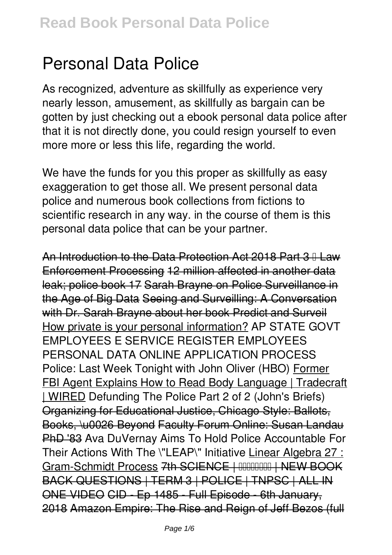# **Personal Data Police**

As recognized, adventure as skillfully as experience very nearly lesson, amusement, as skillfully as bargain can be gotten by just checking out a ebook **personal data police** after that it is not directly done, you could resign yourself to even more more or less this life, regarding the world.

We have the funds for you this proper as skillfully as easy exaggeration to get those all. We present personal data police and numerous book collections from fictions to scientific research in any way. in the course of them is this personal data police that can be your partner.

An Introduction to the Data Protection Act 2018 Part 3 II Law Enforcement Processing 12 million affected in another data leak; police book 17 Sarah Brayne on Police Surveillance in the Age of Big Data Seeing and Surveilling: A Conversation with Dr. Sarah Brayne about her book Predict and Surveil How private is your personal information? **AP STATE GOVT EMPLOYEES E SERVICE REGISTER EMPLOYEES PERSONAL DATA ONLINE APPLICATION PROCESS** Police: Last Week Tonight with John Oliver (HBO) Former FBI Agent Explains How to Read Body Language | Tradecraft | WIRED *Defunding The Police Part 2 of 2 (John's Briefs)* Organizing for Educational Justice, Chicago Style: Ballots, Books, \u0026 Beyond Faculty Forum Online: Susan Landau PhD '83 **Ava DuVernay Aims To Hold Police Accountable For Their Actions With The \"LEAP\" Initiative** Linear Algebra 27 : Gram-Schmidt Process 7th SCIENCE | FORDER IN THEW BOOK BACK QUESTIONS | TERM 3 | POLICE | TNPSC | ALL IN ONE VIDEO CID - Ep 1485 - Full Episode - 6th January, 2018 Amazon Empire: The Rise and Reign of Jeff Bezos (full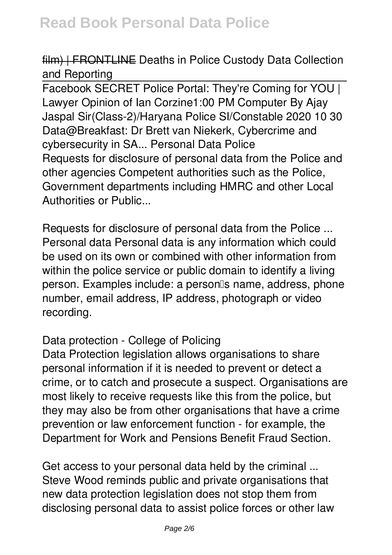#### film) | FRONTLINE **Deaths in Police Custody Data Collection and Reporting**

Facebook SECRET Police Portal: They're Coming for YOU | Lawyer Opinion of Ian Corzine**1:00 PM Computer By Ajay Jaspal Sir(Class-2)/Haryana Police SI/Constable 2020 10 30 Data@Breakfast: Dr Brett van Niekerk, Cybercrime and cybersecurity in SA...** *Personal Data Police* Requests for disclosure of personal data from the Police and other agencies Competent authorities such as the Police, Government departments including HMRC and other Local Authorities or Public...

*Requests for disclosure of personal data from the Police ...* Personal data Personal data is any information which could be used on its own or combined with other information from within the police service or public domain to identify a living person. Examples include: a personlls name, address, phone number, email address, IP address, photograph or video recording.

#### *Data protection - College of Policing*

Data Protection legislation allows organisations to share personal information if it is needed to prevent or detect a crime, or to catch and prosecute a suspect. Organisations are most likely to receive requests like this from the police, but they may also be from other organisations that have a crime prevention or law enforcement function - for example, the Department for Work and Pensions Benefit Fraud Section.

*Get access to your personal data held by the criminal ...* Steve Wood reminds public and private organisations that new data protection legislation does not stop them from disclosing personal data to assist police forces or other law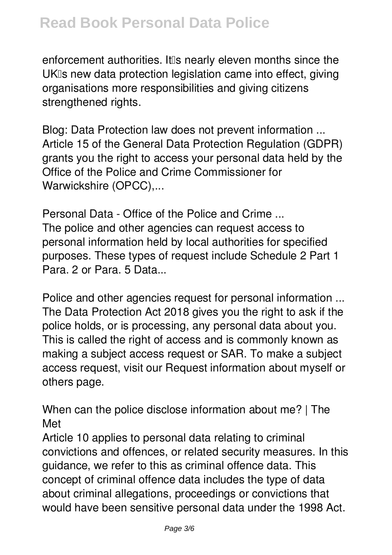enforcement authorities. It is nearly eleven months since the UKIs new data protection legislation came into effect, giving organisations more responsibilities and giving citizens strengthened rights.

*Blog: Data Protection law does not prevent information ...* Article 15 of the General Data Protection Regulation (GDPR) grants you the right to access your personal data held by the Office of the Police and Crime Commissioner for Warwickshire (OPCC),...

*Personal Data - Office of the Police and Crime ...* The police and other agencies can request access to personal information held by local authorities for specified purposes. These types of request include Schedule 2 Part 1 Para. 2 or Para. 5 Data...

*Police and other agencies request for personal information ...* The Data Protection Act 2018 gives you the right to ask if the police holds, or is processing, any personal data about you. This is called the right of access and is commonly known as making a subject access request or SAR. To make a subject access request, visit our Request information about myself or others page.

*When can the police disclose information about me? | The Met*

Article 10 applies to personal data relating to criminal convictions and offences, or related security measures. In this guidance, we refer to this as criminal offence data. This concept of criminal offence data includes the type of data about criminal allegations, proceedings or convictions that would have been sensitive personal data under the 1998 Act.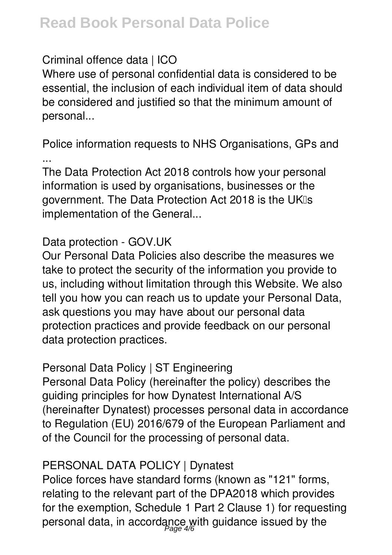## **Read Book Personal Data Police**

#### *Criminal offence data | ICO*

Where use of personal confidential data is considered to be essential, the inclusion of each individual item of data should be considered and justified so that the minimum amount of personal...

*Police information requests to NHS Organisations, GPs and ...*

The Data Protection Act 2018 controls how your personal information is used by organisations, businesses or the government. The Data Protection Act 2018 is the UKIs implementation of the General...

#### *Data protection - GOV.UK*

Our Personal Data Policies also describe the measures we take to protect the security of the information you provide to us, including without limitation through this Website. We also tell you how you can reach us to update your Personal Data, ask questions you may have about our personal data protection practices and provide feedback on our personal data protection practices.

#### *Personal Data Policy | ST Engineering*

Personal Data Policy (hereinafter the policy) describes the guiding principles for how Dynatest International A/S (hereinafter Dynatest) processes personal data in accordance to Regulation (EU) 2016/679 of the European Parliament and of the Council for the processing of personal data.

### *PERSONAL DATA POLICY | Dynatest*

Police forces have standard forms (known as "121" forms, relating to the relevant part of the DPA2018 which provides for the exemption, Schedule 1 Part 2 Clause 1) for requesting personal data, in accordance with guidance issued by the Page 4/6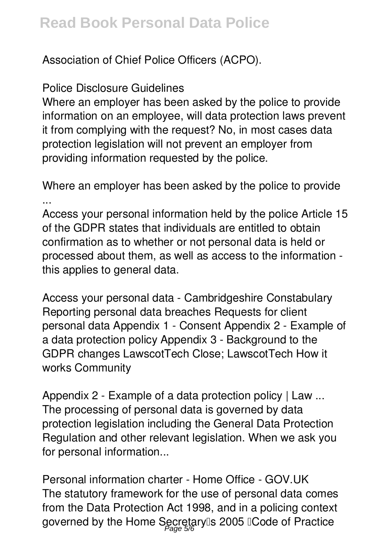Association of Chief Police Officers (ACPO).

#### *Police Disclosure Guidelines*

Where an employer has been asked by the police to provide information on an employee, will data protection laws prevent it from complying with the request? No, in most cases data protection legislation will not prevent an employer from providing information requested by the police.

*Where an employer has been asked by the police to provide ...*

Access your personal information held by the police Article 15 of the GDPR states that individuals are entitled to obtain confirmation as to whether or not personal data is held or processed about them, as well as access to the information this applies to general data.

*Access your personal data - Cambridgeshire Constabulary* Reporting personal data breaches Requests for client personal data Appendix 1 - Consent Appendix 2 - Example of a data protection policy Appendix 3 - Background to the GDPR changes LawscotTech Close; LawscotTech How it works Community

*Appendix 2 - Example of a data protection policy | Law ...* The processing of personal data is governed by data protection legislation including the General Data Protection Regulation and other relevant legislation. When we ask you for personal information...

*Personal information charter - Home Office - GOV.UK* The statutory framework for the use of personal data comes from the Data Protection Act 1998, and in a policing context governed by the Home Secretary‼s 2005 ‼Code of Practice